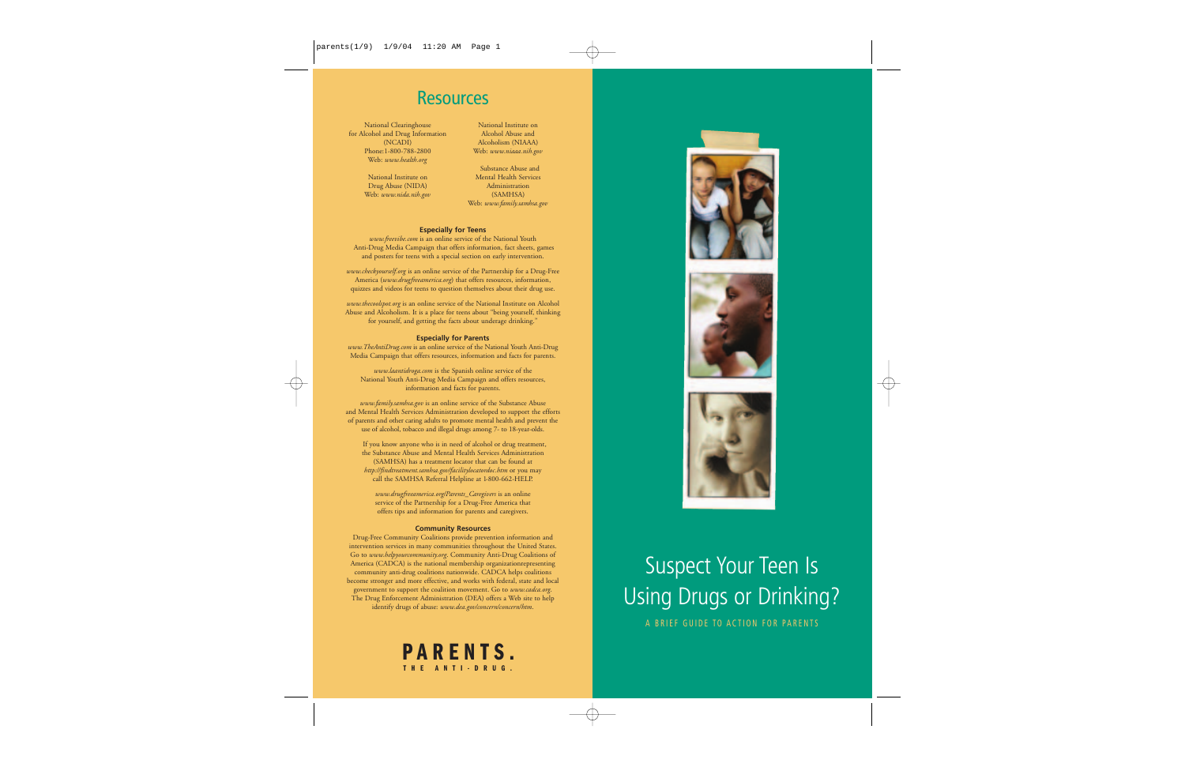# Resources

National Clearinghouse for Alcohol and Drug Information (NCADI) Phone:1-800-788-2800 Web: *www.health.org*

> National Institute on Drug Abuse (NIDA) Web: *www.nida.nih.gov*

National Institute on Alcohol Abuse and Alcoholism (NIAAA) Web: *www.niaaa.nih.gov*

Substance Abuse and Mental Health ServicesAdministration (SAMHSA) Web: *www.family.samhsa.gov*

### **Especially for Teens**

*www.freevibe.com* is an online service of the National Youth Anti-Drug Media Campaign that offers information, fact sheets, games and posters for teens with a special section on early intervention.

*www.checkyourself.org* is an online service of the Partnership for a Drug-Free America (*www.drugfreeamerica.org*) that offers resources, information, quizzes and videos for teens to question themselves about their drug use.

*www.thecoolspot.org* is an online service of the National Institute on Alcohol Abuse and Alcoholism. It is a place for teens about "being yourself, thinking for yourself, and getting the facts about underage drinking."

### **Especially for Parents**

*www.TheAntiDrug.com* is an online service of the National Youth Anti-Drug Media Campaign that offers resources, information and facts for parents.

*www.laantidroga.com* is the Spanish online service of the National Youth Anti-Drug Media Campaign and offers resources, information and facts for parents.

*www.family.samhsa.gov* is an online service of the Substance Abuse and Mental Health Services Administration developed to support the efforts of parents and other caring adults to promote mental health and prevent the use of alcohol, tobacco and illegal drugs among 7- to 18-year-olds.

If you know anyone who is in need of alcohol or drug treatment, the Substance Abuse and Mental Health Services Administration (SAMHSA) has a treatment locator that can be found at *http://findtreatment.samhsa.gov/facilitylocatordoc.htm* or you may call the SAMHSA Referral Helpline at 1-800-662-HELP.

*www.drugfreeamerica.org/Parents\_Caregivers* is an online service of the Partnership for a Drug-Free America that offers tips and information for parents and caregivers.

#### **Community Resources**

Drug-Free Community Coalitions provide prevention information and intervention services in many communities throughout the United States. Go to *www.helpyourcommunity.org*. Community Anti-Drug Coalitions of America (CADCA) is the national membership organizationrepresenting community anti-drug coalitions nationwide. CADCA helps coalitions become stronger and more effective, and works with federal, state and local government to support the coalition movement. Go to *www.cadca.org*. The Drug Enforcement Administration (DEA) offers a Web site to help identify drugs of abuse: *www.dea.gov/concern/concern/htm*.









# Suspect Your Teen Is Using Drugs or Drinking?

A BRIEF GUIDE TO ACTION FOR PARENTS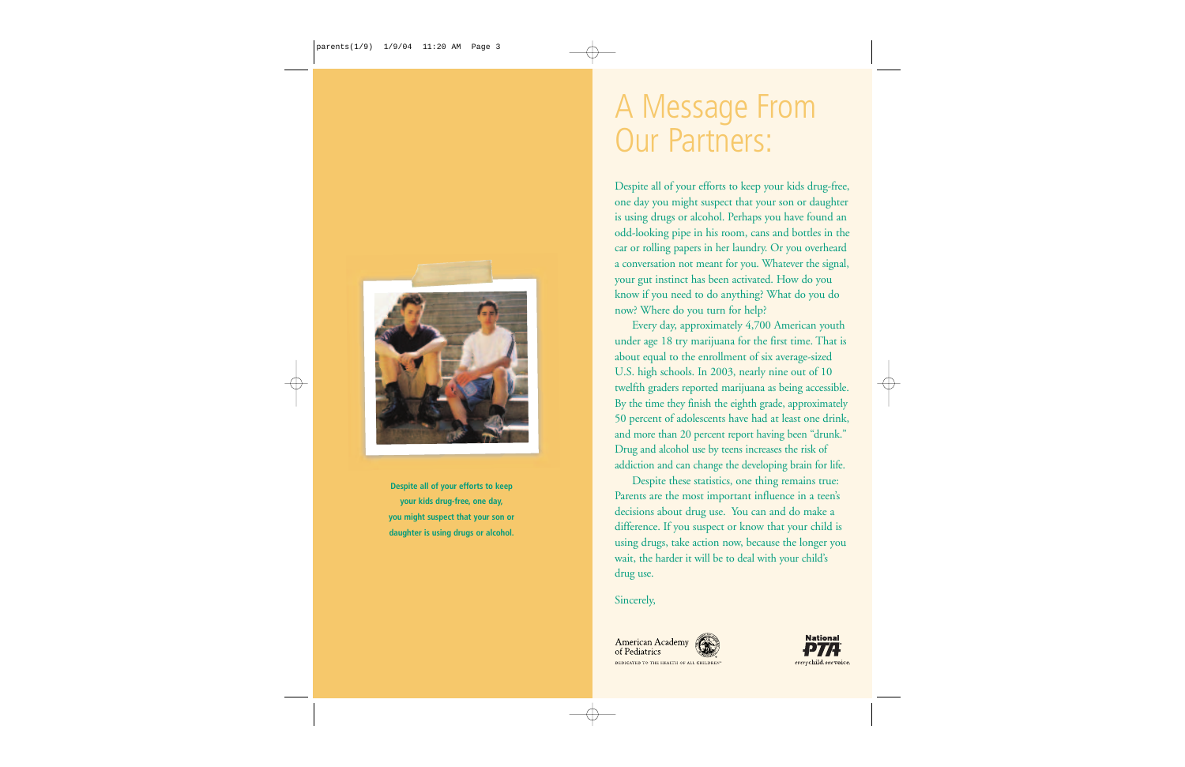# A Message From Our Partners:

Despite all of your efforts to keep your kids drug-free, one day you might suspect that your son or daughter is using drugs or alcohol. Perhaps you have found an odd-looking pipe in his room, cans and bottles in the car or rolling papers in her laundry. Or you overheard a conversation not meant for you. Whatever the signal, your gut instinct has been activated. How do you know if you need to do anything? What do you do now? Where do you turn for help?

Every day, approximately 4,700 American youth under age 18 try marijuana for the first time. That is about equal to the enrollment of six average-sized U.S. high schools. In 2003, nearly nine out of 10 twelfth graders reported marijuana as being accessible. By the time they finish the eighth grade, approximately 50 percent of adolescents have had at least one drink, and more than 20 percent report having been "drunk." Drug and alcohol use by teens increases the risk of addiction and can change the developing brain for life.

Despite these statistics, one thing remains true: Parents are the most important influence in a teen's decisions about drug use. You can and do make a difference. If you suspect or know that your child is using drugs, take action now, because the longer you wait, the harder it will be to deal with your child's drug use.

## Sincerely,







**Despite all of your efforts to keep your kids drug-free, one day, you might suspect that your son or daughter is using drugs or alcohol.**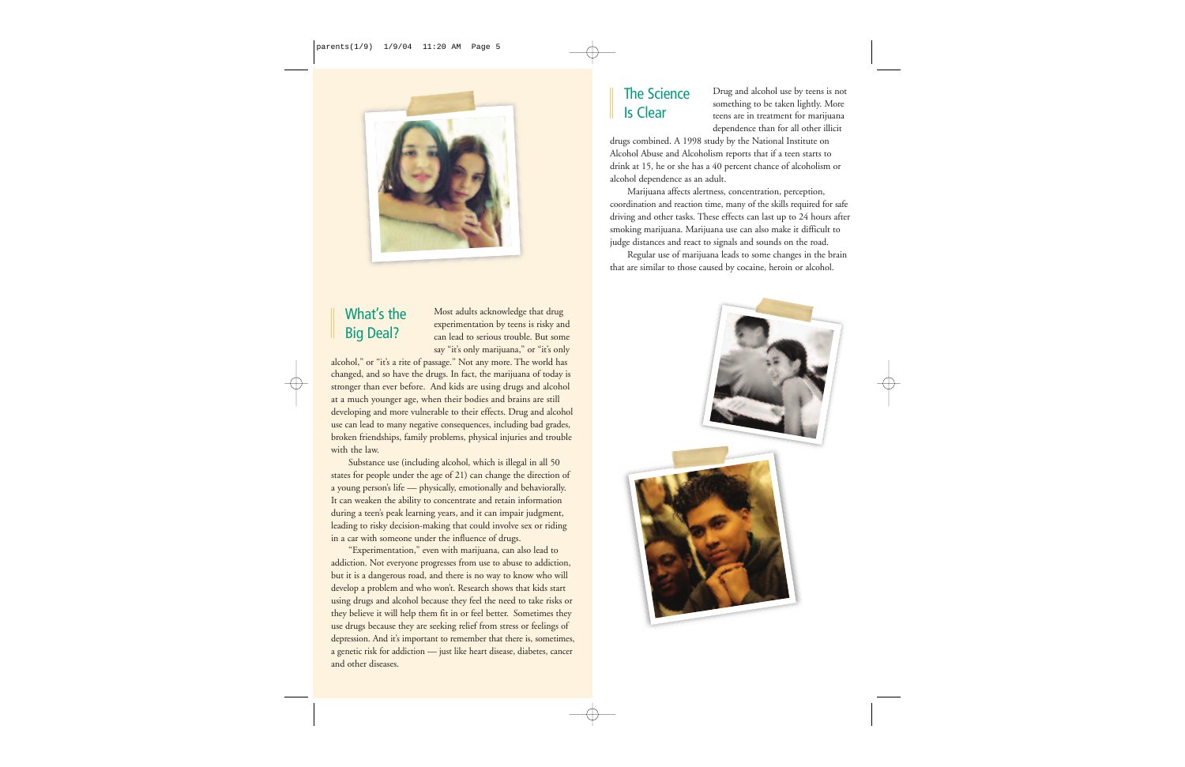

# What's the Big Deal?

Most adults acknowledge that drug experimentation by teens is risky and can lead to serious trouble. But somesay "it's only marijuana," or "it's only

alcohol," or "it's a rite of passage." Not any more. The world has changed, and so have the drugs. In fact, the marijuana of today is stronger than ever before. And kids are using drugs and alcohol at a much younger age, when their bodies and brains are still developing and more vulnerable to their effects. Drug and alcohol use can lead to many negative consequences, including bad grades, broken friendships, family problems, physical injuries and trouble with the law.

Substance use (including alcohol, which is illegal in all 50 states for people under the age of 21) can change the direction of a young person's life — physically, emotionally and behaviorally. It can weaken the ability to concentrate and retain information during a teen's peak learning years, and it can impair judgment, leading to risky decision-making that could involve sex or riding in a car with someone under the influence of drugs.

"Experimentation," even with marijuana, can also lead to addiction. Not everyone progresses from use to abuse to addiction, but it is a dangerous road, and there is no way to know who will develop a problem and who won't. Research shows that kids start using drugs and alcohol because they feel the need to take risks or they believe it will help them fit in or feel better. Sometimes they use drugs because they are seeking relief from stress or feelings of depression. And it's important to remember that there is, sometimes, a genetic risk for addiction — just like heart disease, diabetes, cancer and other diseases.

## The ScienceIs Clear

Drug and alcohol use by teens is not something to be taken lightly. More teens are in treatment for marijuana dependence than for all other illicit

drugs combined. A 1998 study by the National Institute on Alcohol Abuse and Alcoholism reports that if a teen starts to drink at 15, he or she has a 40 percent chance of alcoholism or alcohol dependence as an adult.

Marijuana affects alertness, concentration, perception, coordination and reaction time, many of the skills required for safe driving and other tasks. These effects can last up to 24 hours after smoking marijuana. Marijuana use can also make it difficult to judge distances and react to signals and sounds on the road.

Regular use of marijuana leads to some changes in the brain that are similar to those caused by cocaine, heroin or alcohol.

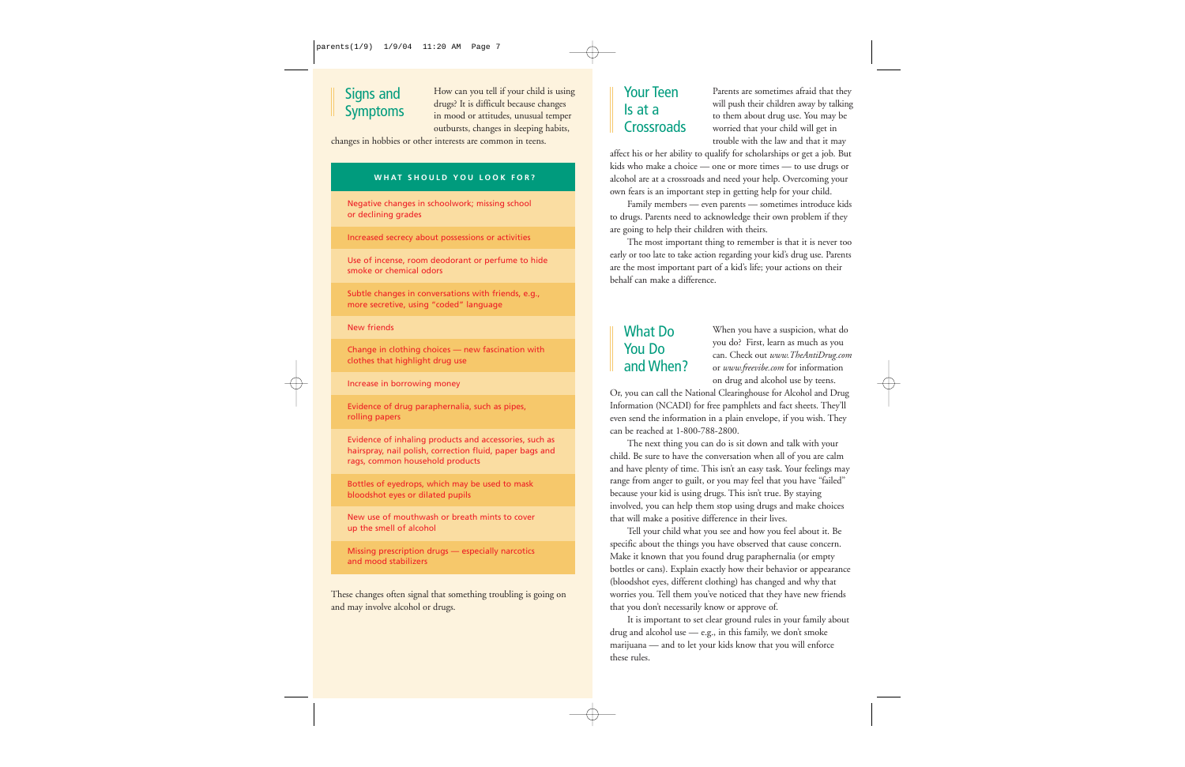## Signs and Symptoms

How can you tell if your child is using drugs? It is difficult because changes in mood or attitudes, unusual temper outbursts, changes in sleeping habits,

changes in hobbies or other interests are common in teens.

## **WHAT SHOULD YOU LOOK FOR?**

Negative changes in schoolwork; missing school or declining grades

Increased secrecy about possessions or activities

Use of incense, room deodorant or perfume to hide smoke or chemical odors

Subtle changes in conversations with friends, e.g., more secretive, using "coded" language

New friends

Change in clothing choices — new fascination with clothes that highlight drug use

Increase in borrowing money

Evidence of drug paraphernalia, such as pipes, rolling papers

Evidence of inhaling products and accessories, such as hairspray, nail polish, correction fluid, paper bags and rags, common household products

Bottles of eyedrops, which may be used to mask bloodshot eyes or dilated pupils

New use of mouthwash or breath mints to cover up the smell of alcohol

Missing prescription drugs — especially narcotics and mood stabilizers

These changes often signal that something troubling is going on and may involve alcohol or drugs.

## Your Teen Is at a **Crossroads**

Parents are sometimes afraid that they will push their children away by talking to them about drug use. You may be worried that your child will get in trouble with the law and that it may

affect his or her ability to qualify for scholarships or get a job. But kids who make a choice — one or more times — to use drugs or alcohol are at a crossroads and need your help. Overcoming your own fears is an important step in getting help for your child.

Family members — even parents — sometimes introduce kids to drugs. Parents need to acknowledge their own problem if they are going to help their children with theirs.

The most important thing to remember is that it is never too early or too late to take action regarding your kid's drug use. Parents are the most important part of a kid's life; your actions on their behalf can make a difference.

## What Do You Do and When?

When you have a suspicion, what do you do? First, learn as much as you can. Check out *www.TheAntiDrug.com* or *www.freevibe.com* for information on drug and alcohol use by teens.

Or, you can call the National Clearinghouse for Alcohol and Drug Information (NCADI) for free pamphlets and fact sheets. They'll even send the information in a plain envelope, if you wish. They can be reached at 1-800-788-2800.

The next thing you can do is sit down and talk with your child. Be sure to have the conversation when all of you are calm and have plenty of time. This isn't an easy task. Your feelings may range from anger to guilt, or you may feel that you have "failed" because your kid is using drugs. This isn't true. By staying involved, you can help them stop using drugs and make choices that will make a positive difference in their lives.

Tell your child what you see and how you feel about it. Be specific about the things you have observed that cause concern. Make it known that you found drug paraphernalia (or empty bottles or cans). Explain exactly how their behavior or appearance (bloodshot eyes, different clothing) has changed and why that worries you. Tell them you've noticed that they have new friends that you don't necessarily know or approve of.

It is important to set clear ground rules in your family about drug and alcohol use — e.g., in this family, we don't smoke marijuana — and to let your kids know that you will enforce these rules.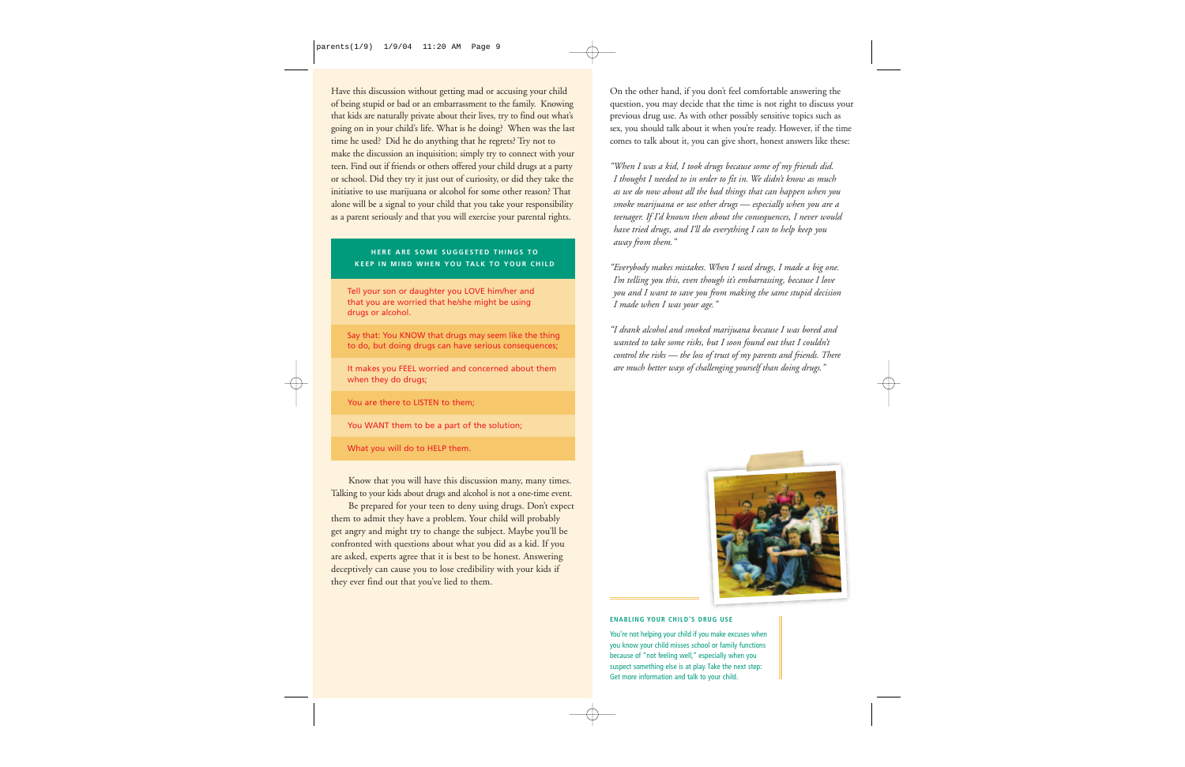Have this discussion without getting mad or accusing your child of being stupid or bad or an embarrassment to the family. Knowing that kids are naturally private about their lives, try to find out what's going on in your child's life. What is he doing? When was the last time he used? Did he do anything that he regrets? Try not to make the discussion an inquisition; simply try to connect with your teen. Find out if friends or others offered your child drugs at a party or school. Did they try it just out of curiosity, or did they take the initiative to use marijuana or alcohol for some other reason? That alone will be a signal to your child that you take your responsibility as a parent seriously and that you will exercise your parental rights.

## **HERE ARE SOME SUGGESTED THINGS TO KEEP IN MIND WHEN YOU TALK TO YOUR CHILD**

Tell your son or daughter you LOVE him/her and that you are worried that he/she might be using drugs or alcohol.

Say that: You KNOW that drugs may seem like the thing to do, but doing drugs can have serious consequences;

It makes you FEEL worried and concerned about them when they do drugs;

You are there to LISTEN to them;

You WANT them to be a part of the solution;

What you will do to HELP them.

Know that you will have this discussion many, many times. Talking to your kids about drugs and alcohol is not a one-time event.

Be prepared for your teen to deny using drugs. Don't expect them to admit they have a problem. Your child will probably get angry and might try to change the subject. Maybe you'll be confronted with questions about what you did as a kid. If you are asked, experts agree that it is best to be honest. Answering deceptively can cause you to lose credibility with your kids if they ever find out that you've lied to them.

On the other hand, if you don't feel comfortable answering the question, you may decide that the time is not right to discuss your previous drug use. As with other possibly sensitive topics such as sex, you should talk about it when you're ready. However, if the time comes to talk about it, you can give short, honest answers like these:

*"When I was a kid, I took drugs because some of my friends did. I thought I needed to in order to fit in. We didn't know as much as we do now about all the bad things that can happen when you smoke marijuana or use other drugs — especially when you are a teenager. If I'd known then about the consequences, I never would have tried drugs, and I'll do everything I can to help keep you away from them."*

*"Everybody makes mistakes. When I used drugs, I made a big one. I'm telling you this, even though it's embarrassing, because I love you and I want to save you from making the same stupid decision I made when I was your age."*

*"I drank alcohol and smoked marijuana because I was bored and wanted to take some risks, but I soon found out that I couldn't control the risks — the loss of trust of my parents and friends. There are much better ways of challenging yourself than doing drugs."*



#### **ENABLING YOUR CHILD'S DRUG USE**

You're not helping your child if you make excuses when you know your child misses school or family functions because of "not feeling well," especially when you suspect something else is at play. Take the next step: Get more information and talk to your child.